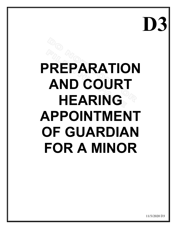# **PREPARATION AND COURT HEARING APPOINTMENT OF GUARDIAN FOR A MINOR**

11/5/2020 D3

**D3**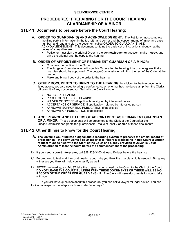#### **SELF-SERVICE CENTER**

## **PROCEDURES: PREPARING FOR THE COURT HEARING GUARDIANSHIP OF A MINOR**

## **STEP 1 Documents to prepare before the Court Hearing:**

- **A. ORDER TO GUARDIAN(S) AND ACKNOWLEDGMENT:** The Petitioner must complete the filing party's information in the top left-hand corner and the caption (name of minor and case number) and read and sign the document called ORDER TO GUARDIAN(S) AND ACKNOWLEDGEMENT. This document contains the basic set of instructions about what the duties of a guardian are.
	- Petitioner must sign the original Order in the **acknowledgement** section, make **1 copy,** and bring the original and the copy to the hearing**.**

#### **B. ORDER OF APPOINTMENT OF PERMANENT GUARDIAN OF A MINOR:**

- Complete the caption of the Order.
- The Judge or Commissioner will sign this Order after the hearing if he or she agrees that a guardian should be appointed. The Judge/Commissioner will fill in the rest of the Order at the hearing.
- Make and bring 1 copy of the order to the hearing

**C. OTHER DOCUMENTS TO BRING TO THE HEARING:** In addition to the two documents listed above, you also need to bring a conformed copy, one that has the date-stamp from the Clerk's office on it, of any document you filed with the Clerk including:

- NOTICE OF HEARING
- PROOF OF NOTICE OF HEARING
- WAIVER OF NOTICE (if applicable) -- signed by interested person
- ACCEPTANCE OF SERVICE (if applicable) signed by interested person
- AFFIDAVIT SUPPORTING PUBLICATION (if applicable)
- AFFIDAVIT OF PUBLICATION (if applicable)
- **D. ACCEPTANCE AND LETTERS OF APPOINTMENT AS PERMANENT GUARDIAN OF A MINOR:** These documents will be presented to the Clerk of the Court after the Judge/Commissioner grants the guardianship. Make at least **2 copies** of these documents.

## **STEP 2 Other things to know for the Court Hearing:**

- **A. The Juvenile Court utilizes a digital audio recording system to preserve the official record of proceedings. If a party wants a court reporter to record a proceeding in this Court, a written request must be filed with the Clerk of the Court and a copy provided to Juvenile Court Administration at least 72 hours before the commencement of the proceeding.**
- **B. If you need a court interpreter**, call 928-428-3100 at least 10 days before the hearing.
- **C.** Be prepared to testify at the court hearing about why you think the guardianship is needed. Bring any witnesses you think will help you to testify as well.
- **D.** AFTER the hearing, you MUST take the original order signed by the Court to the Clerk of the Court. **DO NOT LEAVE THE COURT BUILDING WITH THESE DOCUMENTS OR THERE WILL BE NO RECORD OF THE ORDER FOR GUARDIANSHIP.** The Clerk will issue documents for you to take with you.

If you still have questions about this procedure, you can ask a lawyer for legal advice. You can look up a lawyer in the telephone book under "attorneys."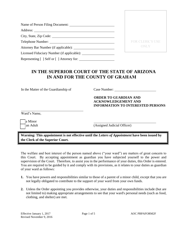|                                            | FOR CLERK'S USE |
|--------------------------------------------|-----------------|
|                                            | <b>ONLY</b>     |
| Licensed Fiduciary Number (if applicable): |                 |
|                                            |                 |

# **IN THE SUPERIOR COURT OF THE STATE OF ARIZONA IN AND FOR THE COUNTY OF GRAHAM**

In the Matter of the Guardianship of Case Number:

## **ORDER TO GUARDIAN AND ACKNOWLEDGEMENT AND INFORMATION TO INTERESTED PERSONS**

Ward's Name,

a Minor

an Adult (Assigned Judicial Officer)

**Warning: This appointment is not effective until the** *Letters of Appointment* **have been issued by the Clerk of the Superior Court.** 

The welfare and best interest of the person named above ("your ward") are matters of great concern to this Court. By accepting appointment as guardian you have subjected yourself to the power and supervision of the Court. Therefore, to assist you in the performance of your duties, this Order is entered. You are required to be guided by it and comply with its provisions, as it relates to your duties as guardian of your ward as follows:

- **1.** You have powers and responsibilities similar to those of a parent of a minor child, except that you are not legally obligated to contribute to the support of your ward from your own funds.
- **2.** Unless the Order appointing you provides otherwise, your duties and responsibilities include (but are not limited to) making appropriate arrangements to see that your ward's personal needs (such as food, clothing, and shelter) are met.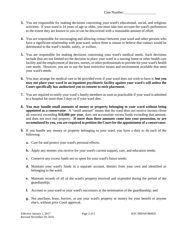Case Number:

- **3.** You are responsible for making decisions concerning your ward's educational, social, and religious activities. If your ward is 14 years of age or older, you must take into account the ward's preferences to the extent they are known to you or can be discovered with a reasonable amount of effort.
- **4.** You are responsible for encouraging and allowing contact between your ward and other persons who have a significant relationship with your ward, unless there is reason to believe that contact would be detrimental to the ward's health, safety, or welfare.
- **5.** You are responsible for making decisions concerning your ward's medical needs. Such decisions include (but are not limited to) the decision to place your ward in a nursing home or other health care facility and the employment of doctors, nurses, or other professionals to provide for your ward's health care needs. However, you are to use the least restrictive means and environment available that meet your ward's needs.
- **6.** You may arrange for medical care to be provided even if your ward does not wish to have it, **but you may not place your ward in an inpatient psychiatric facility against your ward's will unless the Court specifically has authorized you to consent to such placement.**
- **7.** You are required to notify your ward's family members as soon as practicable if your ward is admitted to a hospital for more than 3 days or if your ward dies.
- **8. You may handle small amounts of money or property belonging to your ward without being appointed as a conservator**. A "small amount" means that the ward does not receive income (from all sources) exceeding **\$10,000 per year**, does not accumulate excess funds exceeding that amount, and does not own real property. **If more than these amounts come into your possession, or are accumulated by you, you are required to petition the Court for the appointment of a conservator.**
- **9.** If you handle any money or property belonging to your ward, you have a duty to do each of the following:
	- **a.** Care for and protect your ward's personal effects;
	- **b.** Apply any monies you receive for your ward's current support, care, and education needs;
	- **c.** Conserve any excess funds not so spent for your ward's future needs;
	- **d.** Maintain your ward's funds in a separate account, distinct from your own and identified as belonging to the ward;
	- **e.** Maintain records of all of the ward's property received and expended during the period of the guardianship;
	- **f.** Account to your ward or your ward's successors at the termination of the guardianship; and
	- **g.** Not purchase, lease, borrow, or use your ward's property or money for your benefit or anyone else's, without prior Court approval.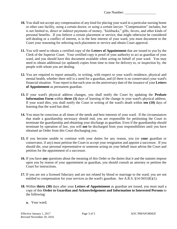Case Number:

- **10.** You shall not accept any compensation of any kind for placing your ward in a particular nursing home or other care facility, using a certain doctor, or using a certain lawyer. "Compensation" includes, but is not limited to, direct or indirect payments of money, "kickbacks," gifts, favors, and other kinds of personal benefits. If you believe a certain placement or service, that might otherwise be considered self-dealing or a conflict of interest, is in the best interest of your ward, you must document to the Court your reasoning for selecting such placement or service and obtain Court approval.
- **11.** You will need to obtain a certified copy of the **Letters of Appointment** that are issued to you by the Clerk of the Superior Court. Your certified copy is proof of your authority to act as guardian of your ward, and you should have this document available when acting on behalf of your ward. You may need to obtain additional (or updated) copies from time to time for delivery to, or inspection by, the people with whom you are dealing.
- **12.** You are required to report annually, in writing, with respect to your ward's residence, physical and mental health, whether there still is a need for a guardian, and (if there is no conservator) your ward's financial situation. Your report is due each year on the anniversary date of the issuance of your **Letters of Appointment** as permanent guardian.
- **13.** If your ward's physical address changes, you shall notify the Court by updating the **Probate Information Form** within **three (3)** days of learning of the change in your ward's physical address. If your ward dies, you shall notify the Court in writing of the ward's death within **ten (10)** days of learning that the ward has died.
- **14.** You must be conscious at all times of the needs and best interests of your ward. If the circumstances that made a guardianship necessary should end, you are responsible for petitioning the Court to terminate the guardianship and obtaining your discharge as guardian. Even if the guardianship should terminate by operation of law, you will **not** be discharged from your responsibilities until you have obtained an Order from this Court discharging you.
- **15.** If you become unable to continue with your duties for any reason, you (or **your** guardian or conservator, if any) must petition the Court to accept your resignation and appoint a successor. If you should die, your personal representative or someone acting on your behalf must advise the Court and petition for the appointment of a successor.
- **16.** If you have **any** questions about the meaning of this Order or the duties that it and the statutes impose upon you by reason of your appointment as guardian, you should consult an attorney or petition the Court for instructions.
- **17.** If you are not a licensed fiduciary and are not related by blood or marriage to the ward, you are not entitled to compensation for your services as the ward's guardian. *See* [A.R.S. §14-5651\(](http://www.westlaw.com/Find/Default.wl?rs=dfa1.0&vr=2.0&DB=1000251&DocName=AZSTS14-5651&FindType=L)K)(1).
- **18.** Within **thirty (30)** days after your **Letters of Appointment** as guardian are issued, you must mail a copy of this **Order to Guardian and Acknowledgement and Information to Interested Persons** to the following:
	- **a.** Your ward;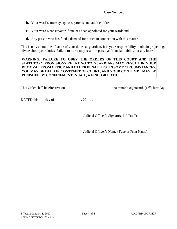- **b.** Your ward's attorney, spouse, parents, and adult children;
- **c.** Your ward's conservator if one has been appointed for your ward; and
- **d.** Any person who has filed a demand for notice in connection with this matter.

This is only an outline of **some** of your duties as guardian. It is **your** responsibility to obtain proper legal advice about your duties. Failure to do so may result in personal financial liability for any losses.

### **WARNING: FAILURE TO OBEY THE ORDERS OF THIS COURT AND THE STATUTORY PROVISIONS RELATING TO GUARDIANS MAY RESULT IN YOUR REMOVAL FROM OFFICE AND OTHER PENALTIES. IN SOME CIRCUMSTANCES, YOU MAY BE HELD IN CONTEMPT OF COURT, AND YOUR CONTEMPT MAY BE PUNISHED BY CONFINEMENT IN JAIL, A FINE, OR BOTH.**

This Order shall be effective on  $\blacksquare$ , the minor's eighteenth (18<sup>th</sup>) birthday.

DATED this  $\rule{1em}{0.15mm}$  day of  $\rule{1em}{0.15mm}$   $\qquad$   $\qquad$   $\qquad$   $\qquad$   $\qquad$   $\qquad$   $\qquad$   $\qquad$   $\qquad$   $\qquad$   $\qquad$   $\qquad$   $\qquad$   $\qquad$   $\qquad$   $\qquad$   $\qquad$   $\qquad$   $\qquad$   $\qquad$   $\qquad$   $\qquad$   $\qquad$   $\qquad$   $\qquad$   $\qquad$   $\qquad$   $\qquad$   $\qquad$ 

Judicial Officer's Signature [ ] Pro Tem

Judicial Officer's Name (Type or Print Name)

\_\_\_\_\_\_\_\_\_\_\_\_\_\_\_\_\_\_\_\_\_\_\_\_\_\_\_\_\_\_\_\_\_\_\_\_\_\_\_\_\_\_

\_\_\_\_\_\_\_\_\_\_\_\_\_\_\_\_\_\_\_\_\_\_\_\_\_\_\_\_\_\_\_\_\_\_\_\_\_\_\_\_\_\_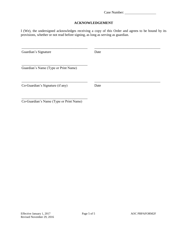Case Number:

## **ACKNOWLEDGEMENT**

I (We), the undersigned acknowledges receiving a copy of this Order and agrees to be bound by its provisions, whether or not read before signing, as long as serving as guardian.

| Guardian's Signature                 | Date |
|--------------------------------------|------|
| Guardian's Name (Type or Print Name) |      |
| Co-Guardian's Signature (if any)     | Date |

Co-Guardian's Name (Type or Print Name)

\_\_\_\_\_\_\_\_\_\_\_\_\_\_\_\_\_\_\_\_\_\_\_\_\_\_\_\_\_\_\_\_\_\_\_\_\_\_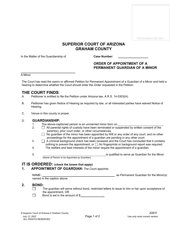FOR CLERK'S USE ONLY

# **SUPERIOR COURT OF ARIZONA GRAHAM COUNTY**

In the Matter of the Guardianship of **Case Number:** .

## **ORDER OF APPOINTMENT OF A PERMANENT GUARDIAN OF A MINOR**

A Minor

The Court has read the sworn or affirmed Petition for Permanent Appointment of a Guardian of a Minor and held a hearing to determine whether the Court should enter the Order requested in the Petition.

## **THE COURT FINDS**:

- A. Petitioner is entitled to file the Petition under Arizona law, A.R.S. 14-5303(A).
- B. Petitioner has given Notice of Hearing as required by law, or all interested parties have waived Notice of Hearing.
- C. Venue in this county is proper.

#### D. **GUARDIANSHIP:**

- 1. The above-captioned person is an unmarried minor born on .
- 2.  $\Box$  All parental rights of custody have been terminated or suspended by written consent of the parent(s), prior court order, or other circumstances.
	- $\Box$  No guardian of the minor has been appointed by Will or any order of any court, and no other proceedings for the appointment of a guardian are pending in any other court.
- $3.$   $\Box$  A criminal background check has been reviewed and the Court has concluded that it contains nothing to prevent the appointment; *or No* fingerprints or background report was required.
- 4. The welfare and best interests of the minor require the appointment of a guardian.
- 5. is qualified to serve as Guardian for the Minor. (Name of Person to be Appointed as Guardian)

## **IT IS ORDERED: (check the boxes that apply)**

**1. APPOINTMENT OF GUARDIAN:** The Court appoints:

NAME: NAME: 2008 NAME: 2008 NAME: 2008 NAME: 2008 NAME: 2008 NAME: 2008 NAME: 2008 NAME: 2009 NAME: 2009 NAME: 2009 NAME: 2009 NAME: 2009 NAME: 2009 NAME: 2009 NAME: 2009 NAME: 2009 NAME: 2009 NAME: 2009 NAME: 2009 NAME: 2

named in the caption above.

#### **2. BOND:**

- $\Box$ The guardian will serve without bond, restricted letters to issue to him or her upon acceptance of the appointment, OR
- $\Box$ Bond is set in the amount of  $$$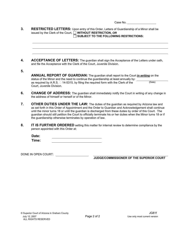| Case No. |  |
|----------|--|
|          |  |

#### **3. RESTRICTED LETTERS:** Upon entry of this Order, Letters of Guardianship of a Minor shall be issued by the Clerk of the Court, **WITHOUT RESTRICTION,** *OR*  **SUBJECT TO THE FOLLOWING RESTRICTIONS:**

- **4. ACCEPTANCE OF LETTERS:** The guardian shall sign the Acceptance of the Letters under oath, and file the Acceptance with the Clerk of the Court, Juvenile Division.
- **5.**
- **ANNUAL REPORT OF GUARDIAN:** The guardian shall report to the Court *in writing* on the status of the Minor and the need to continue the guardianship at least annually by: as required by A.R.S.  $\Box$  14-5315, by filing the required form with the Clerk of the  $\Box$  (Date) Court, Juvenile Division. .
- **6.** CHANGE OF ADDRESS: The guardian shall immediately notify the Court in writing of any change in the address of himself or herself or of the Minor.
- **7.** OTHER DUTIES UNDER THE LAW: The duties of the quardian as required by Arizona law and as set forth in this Order of Appointment and the Order to Guardian and Acknowledgement shall continue until the minor turns 18 or until the guardian is discharged from these duties by order of this Court. The guardian should still petition the Court to officially terminate his or her duties when the Minor turns 18 or if the guardianship otherwise terminates by operation of law.
- **8.** IT IS FURTHER ORDERED setting this matter for internal review to determine compliance by the person appointed with this Order at:

**Date: Time:**

DONE IN OPEN COURT:

**JUDGE/COMMISSIONER OF THE SUPERIOR COURT**